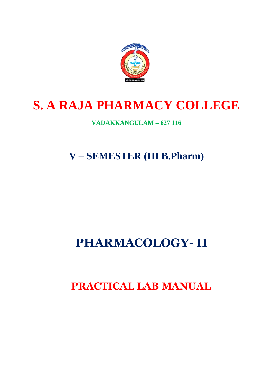

# **S. A RAJA PHARMACY COLLEGE**

## **VADAKKANGULAM – 627 116**

**V – SEMESTER (III B.Pharm)**

## **PHARMACOLOGY- II**

 **PRACTICAL LAB MANUAL**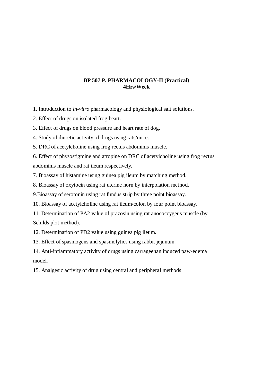## **BP 507 P. PHARMACOLOGY-II (Practical) 4Hrs/Week**

- 1. Introduction to *in-vitro* pharmacology and physiological salt solutions.
- 2. Effect of drugs on isolated frog heart.

3. Effect of drugs on blood pressure and heart rate of dog.

4. Study of diuretic activity of drugs using rats/mice.

5. DRC of acetylcholine using frog rectus abdominis muscle.

6. Effect of physostigmine and atropine on DRC of acetylcholine using frog rectus abdominis muscle and rat ileum respectively.

7. Bioassay of histamine using guinea pig ileum by matching method.

8. Bioassay of oxytocin using rat uterine horn by interpolation method.

9.Bioassay of serotonin using rat fundus strip by three point bioassay.

10. Bioassay of acetylcholine using rat ileum/colon by four point bioassay.

11. Determination of PA2 value of prazosin using rat anococcygeus muscle (by Schilds plot method).

12. Determination of PD2 value using guinea pig ileum.

13. Effect of spasmogens and spasmolytics using rabbit jejunum.

14. Anti-inflammatory activity of drugs using carrageenan induced paw-edema model.

15. Analgesic activity of drug using central and peripheral methods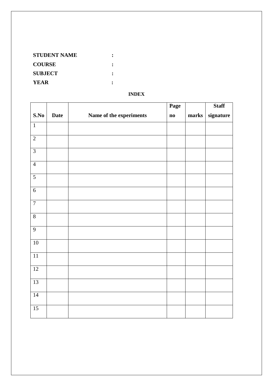| <b>STUDENT NAME</b> |  |
|---------------------|--|
| <b>COURSE</b>       |  |
| <b>SUBJECT</b>      |  |
| <b>YEAR</b>         |  |

## **INDEX**

|                  |             |                         | Page          |       | <b>Staff</b> |
|------------------|-------------|-------------------------|---------------|-------|--------------|
| S.No             | <b>Date</b> | Name of the experiments | $\mathbf{no}$ | marks | signature    |
| $\overline{1}$   |             |                         |               |       |              |
| $\overline{2}$   |             |                         |               |       |              |
| $\overline{3}$   |             |                         |               |       |              |
| $\overline{4}$   |             |                         |               |       |              |
| $\overline{5}$   |             |                         |               |       |              |
| $\overline{6}$   |             |                         |               |       |              |
| $\boldsymbol{7}$ |             |                         |               |       |              |
| $\overline{8}$   |             |                         |               |       |              |
| $\overline{9}$   |             |                         |               |       |              |
| $\overline{10}$  |             |                         |               |       |              |
| $\overline{11}$  |             |                         |               |       |              |
| 12               |             |                         |               |       |              |
| 13               |             |                         |               |       |              |
| $14\,$           |             |                         |               |       |              |
| $\overline{15}$  |             |                         |               |       |              |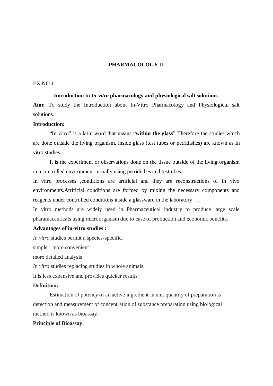#### **PHARMACOLOGY-II**

## $EX NO<sup>1</sup>$

#### **Introduction to** *In-vitro* **pharmacology and physiological salt solutions.**

**Aim:** To study the Introduction about In-Vitro Pharmacology and Physiological salt solutions.

### **Introduction:**

"In vitro" is a latin word that means "**within the glass**" Therefore the studies which are done outside the living organism, inside glass (test tubes or petridishes) are known as In vitro studies.

It is the experiment or observations done on the tissue outside of the living organism in a controlled environment ,usually using petridishes and testtubes.

In vitro processes ,conditions are artificial and they are reconstructions of In vivo environments.Artificial conditions are formed by mixing the necessary components and reagents under controlled conditions inside a glassware in the laboratory .

In vitro methods are widely used in Pharmaceutical industry to produce large scale pharamaceuticals using microorganism due to ease of production and economic benefits.

#### **Advantages of in-vitro studies :**

*In vitro* studies permit a species-specific.

simpler, more convenient

more detailed analysis

*In vitro* studies replacing studies in whole animals.

It is less expensive and provides quicker results.

#### **Definition:**

Estimation of potency of an active ingredient in unit quantity of preparation is detection and measurement of concentration of substance preparation using biological method is known as bioassay.

#### **Principle of Bioassay:**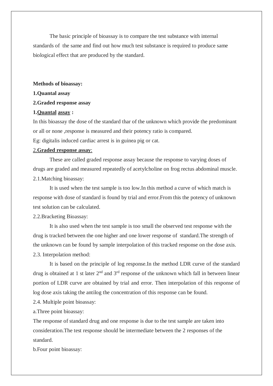The basic principle of bioassay is to compare the test substance with internal standards of the same and find out how much test substance is required to produce same biological effect that are produced by the standard.

#### **Methods of bioassay:**

#### **1.Quantal assay**

#### **2.Graded response assay**

#### **1.Quantal assay :**

In this bioassay the dose of the standard thar of the unknown which provide the predominant or all or none ,response is measured and their potency ratio is compared.

Eg: digitalis induced cardiac arrest is in guinea pig or cat.

## 2.**Graded response assay**:

These are called graded response assay because the response to varying doses of drugs are graded and measured repeatedly of acetylcholine on frog rectus abdominal muscle. 2.1.Matching bioassay:

It is used when the test sample is too low.In this method a curve of which match is response with dose of standard is found by trial and error.From this the potency of unknown test solution can be calculated.

#### 2.2.Bracketing Bioassay:

It is also used when the test sample is too small the observed test response with the drug is tracked between the one higher and one lower response of standard.The strength of the unknown can be found by sample interpolation of this tracked response on the dose axis. 2.3. Interpolation method:

It is based on the principle of log response.In the method LDR curve of the standard drug is obtained at 1 st later  $2<sup>nd</sup>$  and  $3<sup>rd</sup>$  response of the unknown which fall in between linear portion of LDR curve are obtained by trial and error. Then interpolation of this response of log dose axis taking the antilog the concentration of this response can be found.

2.4. Multiple point bioassay:

a.Three point bioassay:

The response of standard drug and one response is due to the test sample are taken into consideration.The test response should be intermediate between the 2 responses of the standard.

b.Four point bioassay: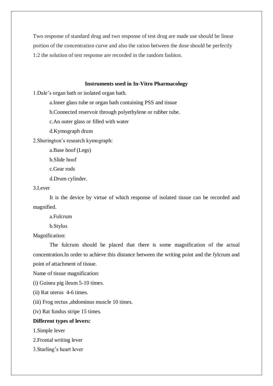Two response of standard drug and two response of test drug are made use should be linear portion of the concentration curve and also the ration between the dose should be perfectly 1:2 the solution of test response are recorded in the random fashion.

#### **Instruments used in In-Vitro Pharmacology**

1.Dale's organ bath or isolated organ bath.

a.Inner glass tube or organ bath containing PSS and tissue

b.Connected reservoir through polyethylene or rubber tube.

c.An outer glass or filled with water

d.Kymograph drum

2.Sherington's research kymograph:

a.Base hoof (Legs)

b.Slide hoof

c.Gear rods

d.Drum cylinder.

## 3.Lever

It is the device by virtue of which response of isolated tissue can be recorded and magnified.

a.Fulcrum

b.Stylus

Magnification:

The fulcrum should be placed that there is some magnification of the actual concentration.In order to achieve this distance between the writing point and the fylcrum and point of attachment of tissue.

Name of tissue magnification:

(i) Guinea pig ileum 5-10 times.

(ii) Rat uterus 4-6 times.

(iii) Frog rectus ,abdominus muscle 10 times.

(iv) Rat fundus stripe 15 times.

#### **Different types of levers:**

1.Simple lever

2.Frontal writing lever

3.Starling's heart lever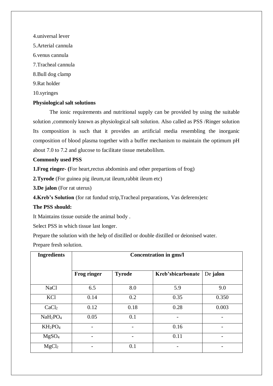4.universal lever 5.Arterial cannula 6.venus cannula 7.Tracheal cannula 8.Bull dog clamp 9.Rat holder 10.syringes

#### **Physiological salt solutions**

The ionic requirements and nutritional supply can be provided by using the suitable solution ,commonly known as physiological salt solution. Also called as PSS /Ringer solution Its composition is such that it provides an artificial media resembling the inorganic composition of blood plasma together with a buffer mechanism to maintain the optimum pH about 7.0 to 7.2 and glucose to facilitate tissue metabolilsm.

#### **Commonly used PSS**

**1.Frog ringer- (**For heart,rectus abdominis and other prepartions of frog)

**2.Tyrode** (For guinea pig ileum,rat ileum,rabbit ileum etc)

**3.De jalon** (For rat uterus)

**4.Kreb's Solution** (for rat fundud strip,Tracheal preparations, Vas deferens)etc

## **The PSS should:**

It Maintains tissue outside the animal body .

Select PSS in which tissue last longer.

Prepare the solution with the help of distilled or double distilled or deionised water.

Prepare fresh solution.

| <b>Ingredients</b>               | <b>Concentration in gms/l</b> |               |                   |          |
|----------------------------------|-------------------------------|---------------|-------------------|----------|
|                                  | <b>Frog ringer</b>            | <b>Tyrode</b> | Kreb'sbicarbonate | De jalon |
| <b>NaCl</b>                      | 6.5                           | 8.0           | 5.9               | 9.0      |
| KCl                              | 0.14                          | 0.2           | 0.35              | 0.350    |
| CaCl <sub>2</sub>                | 0.12                          | 0.18          | 0.28              | 0.003    |
| NaH <sub>2</sub> PO <sub>4</sub> | 0.05                          | 0.1           |                   |          |
| $KH_2PO_4$                       |                               |               | 0.16              |          |
| MgSO <sub>4</sub>                |                               |               | 0.11              |          |
| MgCl <sub>2</sub>                |                               | 0.1           |                   |          |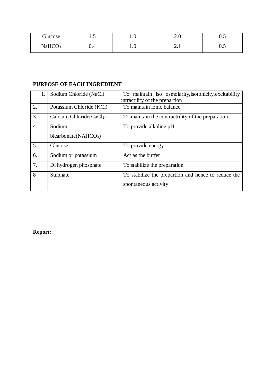| Glucose            | $\cdot\cdot$ | $\cdot$                       | $\sim$ . $\circ$ | $\sim$ $\sim$<br>◡.◡ |
|--------------------|--------------|-------------------------------|------------------|----------------------|
| NaHCO <sub>3</sub> | v.4          | $\mathbf{1} \cdot \mathbf{0}$ | $\sim$ . $\perp$ | ∪.∪                  |

## **PURPOSE OF EACH INGREDIENT**

| 1. | Sodium Chloride (NaCl)           | To maintain iso osmolarity, isotonicity, excitability |
|----|----------------------------------|-------------------------------------------------------|
|    |                                  | Intractility of the prepartion                        |
| 2. | Potassium Chloride (KCl)         | To maintain ionic balance                             |
| 3. | Calcium Chloride $CaCl2$         | To maintain the contract tility of the preparation    |
| 4. | Sodium                           | To provide alkaline pH                                |
|    | bicarbonate(NAHCO <sub>3</sub> ) |                                                       |
| 5. | Glucose                          | To provide energy                                     |
| 6. | Sodium or potassium              | Act as the buffer                                     |
| 7. | Di hydrogen phosphate            | To stabilize the preparation                          |
| 8  | Sulphate                         | To stabilize the prepartion and hence to reduce the   |
|    |                                  | spontaneous activity                                  |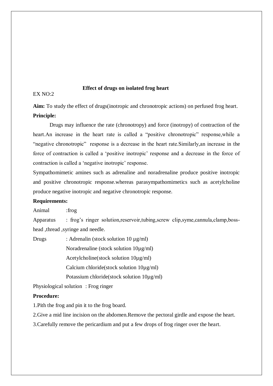## **Effect of drugs on isolated frog heart**

 $EX NO:2$ 

**Aim:** To study the effect of drugs(inotropic and chronotropic actions) on perfused frog heart. **Principle:**

Drugs may influence the rate (chronotropy) and force (inotropy) of contraction of the heart.An increase in the heart rate is called a "positive chronotropic" response,while a "negative chronotropic" response is a decrease in the heart rate.Similarly,an increase in the force of contraction is called a 'positive inotropic' response and a decrease in the force of contraction is called a 'negative inotropic' response.

Sympathomimetic amines such as adrenaline and noradrenaline produce positive inotropic and positive chronotropic response.whereas parasympathomimetics such as acetylcholine produce negative inotropic and negative chronotropic response.

#### **Requirements:**

Animal :frog

Apparatus : frog's ringer solution,reservoir,tubing,screw clip,syme,cannula,clamp,bosshead ,thread ,syringe and needle.

Drugs : Adrenalin (stock solution 10 µg/ml) Noradrenaline (stock solution 10µg/ml) Acetylcholine(stock solution 10µg/ml) Calcium chloride(stock solution 10µg/ml) Potassium chloride(stock solution 10µg/ml)

Physiological solution : Frog ringer

#### **Procedure:**

1.Pith the frog and pin it to the frog board.

2.Give a mid line incision on the abdomen.Remove the pectoral girdle and expose the heart.

3.Carefully remove the pericardium and put a few drops of frog ringer over the heart.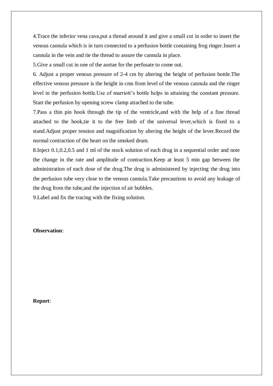4.Trace the inferior vena cava,put a thread around it and give a small cut in order to insert the venous cannula which is in turn connected to a perfusion bottle containing frog ringer.Insert a cannula in the vein and tie the thread to assure the cannula in place.

5.Give a small cut in one of the aortae for the perfusate to come out.

6. Adjust a proper venous pressure of 2-4 cm by altering the height of perfusion bottle.The effective venous pressure is the height in cms from level of the venous cannula and the ringer level in the perfusion bottle.Use of marriott's bottle helps in attaining the constant pressure. Start the perfusion by opening screw clamp attached to the tube.

7.Pass a thin pin hook through the tip of the ventricle,and with the help of a fine thread attached to the hook,tie it to the free limb of the universal lever,which is fixed to a stand.Adjust proper tension and magnification by altering the height of the lever.Record the normal contraction of the heart on the smoked drum.

8.Inject 0.1,0.2,0.5 and 1 ml of the stock solution of each drug in a sequential order and note the change in the rate and amplitude of contraction.Keep at least 5 min gap between the administration of each dose of the drug.The drug is administered by injecting the drug into the perfusion tube very close to the venous cannula.Take precautions to avoid any leakage of the drug from the tube,and the injection of air bubbles.

9.Label and fix the tracing with the fixing solution.

#### **Observation**: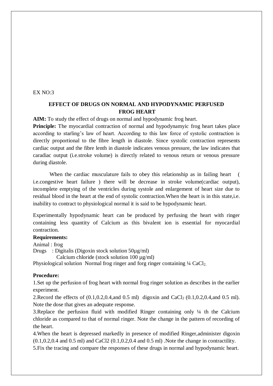#### EX NO:3

## **EFFECT OF DRUGS ON NORMAL AND HYPODYNAMIC PERFUSED FROG HEART**

**AIM:** To study the effect of drugs on normal and hypodynamic frog heart.

**Principle:** The myocardial contraction of normal and hypodynamyic frog heart takes place according to starling's law of heart. According to this law force of systolic contraction is directly proportional to the fibre length in diastole. Since systolic contraction represents cardiac output and the fibre lenth in diastole indicates venous pressure, the law indicates that caradiac output (i.e.stroke volume) is directly related to venous return or venous pressure during diastole.

When the cardiac musculature fails to obey this relationship as in failing heart ( i.e.congestive heart failure ) there will be decrease in stroke volume(cardiac output), incomplete emptying of the ventricles during systole and enlargement of heart size due to residual blood in the heart at the end of systolic contraction.When the heart is in this state,i.e. inability to contract to physiological normal it is said to be hypodynamic heart.

Experimentally hypodynamic heart can be produced by perfusing the heart with ringer containing less quantity of Calcium as this bivalent ion is essential for myocardial contraction.

#### **Requirements:**

Animal : frog Drugs : Digitalis (Digoxin stock solution 50µg/ml)

Calcium chloride (stock solution 100 µg/ml)

Physiological solution Normal frog ringer and forg ringer containing 1/4 CaCl<sub>2</sub>.

#### **Procedure:**

1.Set up the perfusion of frog heart with normal frog ringer solution as describes in the earlier experiment.

2. Record the effects of  $(0.1, 0.2, 0.4, \text{and } 0.5 \text{ ml})$  digoxin and CaCl<sub>2</sub>  $(0.1, 0.2, 0.4, \text{and } 0.5 \text{ ml})$ . Note the dose that gives an adequate response.

3.Replace the perfusion fluid with modified Ringer containing only ¼ th the Calcium chloride as compared to that of normal ringer. Note the change in the pattern of recording of the heart.

4.When the heart is depressed markedly in presence of modified Ringer,administer digoxin  $(0.1, 0.2, 0.4 \text{ and } 0.5 \text{ ml})$  and CaCl2  $(0.1, 0.2, 0.4 \text{ and } 0.5 \text{ ml})$ . Note the change in contractility.

5.Fix the tracing and compare the responses of these drugs in normal and hypodynamic heart.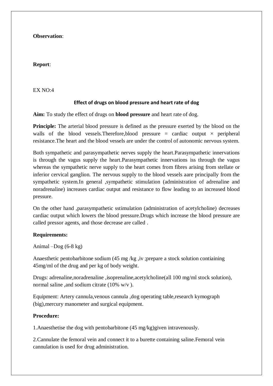#### **Observation**:

#### **Report**:

EX NO:4

## **Effect of drugs on blood pressure and heart rate of dog**

**Aim:** To study the effect of drugs on **blood pressure** and heart rate of dog.

**Principle:** The arterial blood pressure is defined as the pressure exerted by the blood on the walls of the blood vessels. Therefore, blood pressure = cardiac output  $\times$  peripheral resistance.The heart and the blood vessels are under the control of autonomic nervous system.

Both sympathetic and parasympathetic nerves supply the heart.Parasympathetic innervations is through the vagus supply the heart.Parasympathetic innervations iss through the vagus whereas the sympathetic nerve supply to the heart comes from fibres arising from stellate or inferior cervical ganglion. The nervous supply to the blood vessels aare principally from the sympathetic system.In general ,sympathetic stimulation (administration of adrenaline and noradrenaline) increases cardiac output and resistance to flow leading to an increased blood pressure.

On the other hand ,parasympathetic sstimulation (administration of acetylcholine) decreases cardiac output which lowers the blood pressure.Drugs which increase the blood pressure are called pressor agents, and those decrease are called .

#### **Requirements:**

Animal  $-Dog(6-8 kg)$ 

Anaesthetic pentobarbitone sodium (45 mg /kg ,iv ;prepare a stock solution contiaining 45mg/ml of the drug and per kg of body weight.

Drugs: adrenaline,noradrenaline ,isoprenaline,acetylcholine(all 100 mg/ml stock solution), normal saline ,and sodium citrate (10% w/v ).

Equipment: Artery cannula,venous cannula ,dog operating table,research kymograph (big),mercury manometer and surgical equipment.

### **Procedure:**

1.Anaesthetise the dog with pentobarbitone (45 mg/kg)given intravenously.

2.Cannulate the femoral vein and connect it to a burette containing saline.Femoral vein cannulation is used for drug administration.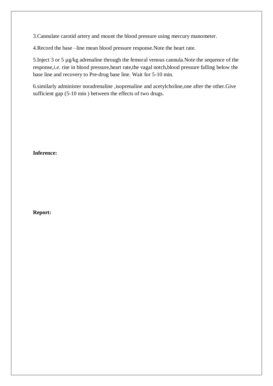3.Cannulate carotid artery and mount the blood pressure using mercury manometer.

4.Record the base –line mean blood pressure response.Note the heart rate.

5.Inject 3 or 5 µg/kg adrenaline through the femoral venous cannula.Note the sequence of the response,*i.e.* rise in blood pressure,heart rate,the vagal notch,blood pressure falling below the base line and recovery to Pre-drug base line. Wait for 5-10 min.

6.similarly administer noradrenaline ,isoprenaline and acetylcholine,one after the other.Give sufficient gap (5-10 min ) between the effects of two drugs.

## **Inference:**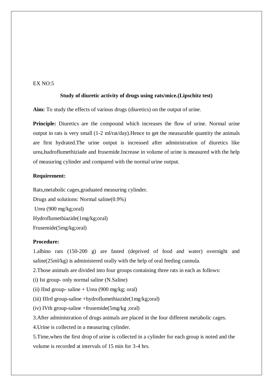## $EX NO.5$

#### **Study of diuretic activity of drugs using rats/mice.(Lipschitz test)**

**Aim:** To study the effects of various drugs (diuretics) on the output of urine.

**Principle:** Diuretics are the compound which increases the flow of urine. Normal urine output in rats is very small (1-2 ml/rat/day).Hence to get the measurable quantity the animals are first hydrated.The urine output is increased after administration of diuretics like urea,hudroflumethiziade and frusemide.Increase in volume of urine is measured with the help of measuring cylinder and compared with the normal urine output.

#### **Requirement:**

Rats,metabolic cages,graduated measuring cylinder.

Drugs and solutions: Normal saline(0.9%) Urea (900 mg/kg;oral) Hydroflumethiazide(1mg/kg;oral) Frusemide(5mg/kg;oral)

#### **Procedure:**

1.albino rats (150-200 g) are fasted (deprived of food and water) overnight and saline(25ml/kg) is administered orally with the help of oral feeding cannula.

2.Those animals are divided into four groups containing three rats in each as follows:

(i) Ist group- only normal saline (N.Saline)

(ii) IInd group- saline  $+$  Urea (900 mg/kg; oral)

(iii) IIIrd group-saline +hydroflumethiazide(1mg/kg;oral)

(iv) IVth group-saline +frusemide(5mg/kg ;oral)

3.After administration of drugs animals are placed in the four different metabolic cages.

4.Urine is collected in a measuring cylinder.

5.Time,when the first drop of urine is collected in a cylinder for each group is noted and the volume is recorded at intervals of 15 min for 3-4 hrs.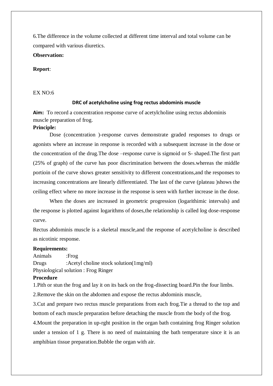6.The difference in the volume collected at different time interval and total volume can be compared with various diuretics.

### **Observation:**

### **Report**:

#### EX NO:6

#### **DRC of acetylcholine using frog rectus abdominis muscle**

**Aim:** To record a concentration response curve of acetylcholine using rectus abdominis muscle preparation of frog.

#### **Principle:**

Dose (concentration )-response curves demonstrate graded responses to drugs or agonists where an increase in response is recorded with a subsequent increase in the dose or the concentration of the drug.The dose –response curve is sigmoid or S- shaped.The first part (25% of graph) of the curve has poor discrimination between the doses.whereas the middle portioin of the curve shows greater sensitivity to different concentrations,and the responses to increasing concentrations are linearly differentiated. The last of the curve (plateau )shows the ceiling effect where no more increase in the response is seen with further increase in the dose.

When the doses are increased in geometric progression (logarithimic intervals) and the response is plotted against logarithms of doses,the relationship is called log dose-response curve.

Rectus abdominis muscle is a skeletal muscle,and the response of acetylcholine is described as nicotinic response.

#### **Requirements:**

Animals :Frog Drugs :Acetyl choline stock solution(1mg/ml) Physiological solution : Frog Ringer

#### **Procedure**

1.Pith or stun the frog and lay it on its back on the frog-dissecting board.Pin the four limbs.

2.Remove the skin on the abdomen and expose the rectus abdominis muscle,

3.Cut and prepare two rectus muscle preparations from each frog.Tie a thread to the top and bottom of each muscle preparation before detaching the muscle from the body of the frog.

4.Mount the preparation in up-rght position in the organ bath containing frog Ringer solution under a tension of 1 g. There is no need of maintaining the bath temperature since it is an amphibian tissue preparation.Bubble the organ with air.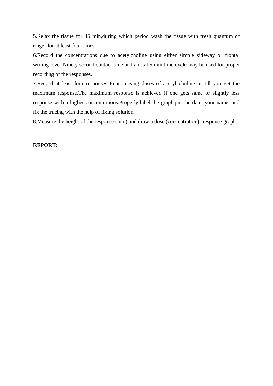5.Relax the tissue for 45 min,during which period wash the tissue with fresh quantum of ringer for at least four times.

6.Record the concentrations due to acetylcholine using either simple sideway or frontal writing lever.Ninety second contact time and a total 5 min time cycle may be used for proper recording of the responses.

7.Record at least four responses to increasing doses of acetyl choline or till you get the maximum response.The maximum response is achieved if one gets same or slightly less response with a higher concentrations.Properly label the graph,put the date ,your name, and fix the tracing with the help of fixing solution.

8.Measure the height of the response (mm) and draw a dose (concentration)- response graph.

#### **REPORT:**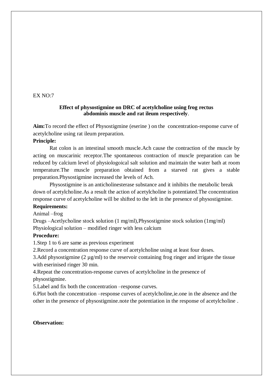#### $EX NO:7$

#### **Effect of physostigmine on DRC of acetylcholine using frog rectus abdominis muscle and rat ileum respectively**.

**Aim:**To record the effect of Physostigmine (eserine ) on the concentration-response curve of acetylcholine using rat ileum preparation.

#### **Principle:**

Rat colon is an intestinal smooth muscle.Ach cause the contraction of the muscle by acting on muscarinic receptor.The spontaneous contraction of muscle preparation can be reduced by calcium level of physiologoical salt solution and maintain the water bath at room temperature.The muscle preparation obtained from a starved rat gives a stable preparation.Physostigmine increased the levels of Ach.

Physostigmine is an anticholinesterase substance and it inhibits the metabolic break down of acetylcholine.As a result the action of acetylcholine is potentiated.The concentration response curve of acetylcholine will be shifted to the left in the presence of physostigmine.

#### **Requirements:**

Animal –frog

Drugs –Acetlycholine stock solution (1 mg/ml),Physostigmine stock solution (1mg/ml) Physiological solution – modified ringer with less calcium

#### **Procedure:**

1.Step 1 to 6 are same as previous experiment

2.Record a concentration response curve of acetylcholine using at least four doses.

3.Add physostigmine (2 µg/ml) to the reservoir containing frog ringer and irrigate the tissue with eserinised ringer 30 min.

4.Repeat the concentration-response curves of acetylcholine in the presence of physostigmine.

5.Label and fix both the concentration –response curves.

6.Plot both the concentration –response curves of acetylcholine,ie.one in the absence and the other in the presence of physostigmine.note the potentiation in the response of acetylcholine .

#### **Observation:**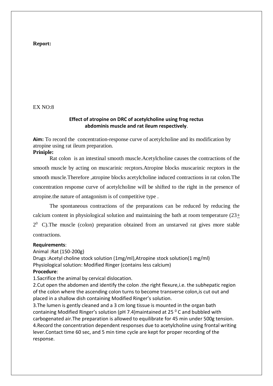#### **Report:**

#### EX NO:8

## **Effect of atropine on DRC of acetylcholine using frog rectus abdominis muscle and rat ileum respectively**.

**Aim:** To record the concentration-response curve of acetylcholine and its modification by atropine using rat ileum preparation.

## **Priniple:**

Rat colon is an intestinal smooth muscle.Acetylcholine causes the contractions of the smooth muscle by acting on muscarinic recptors.Atropine blocks muscarinic recptors in the smooth muscle.Therefore ,atropine blocks acetylcholine induced contractions in rat colon.The concentration response curve of acetylcholine will be shifted to the right in the presence of atropine.the nature of antagonism is of competitive type .

The spontaneous contractions of the preparations can be reduced by reducing the calcium content in physiological solution and maintaining the bath at room temperature  $(23+)$  $2<sup>0</sup>$  C). The muscle (colon) preparation obtained from an unstarved rat gives more stable contractions.

#### **Requirements**:

Animal :Rat (150-200g) Drugs :Acetyl choline stock solution (1mg/ml),Atropine stock solution(1 mg/ml) Physiological solution: Modified Ringer (contains less calcium) **Procedure**:

1.Sacrifice the animal by cervical dislocation.

2.Cut open the abdomen and identify the colon .the right flexure,i.e. the subhepatic region of the colon where the ascending colon turns to become transverse colon,is cut out and placed in a shallow dish containing Modified Ringer's solution.

3.The lumen is gently cleaned and a 3 cm long tissue is mounted in the organ bath containing Modified Ringer's solution (pH 7.4)maintained at 25 $^{\circ}$  C and bubbled with carbogenated air.The preparation is allowed to equilibrate for 45 min under 500g tension. 4.Record the concentration dependent responses due to acetylcholine using frontal writing lever.Contact time 60 sec, and 5 min time cycle are kept for proper recording of the response.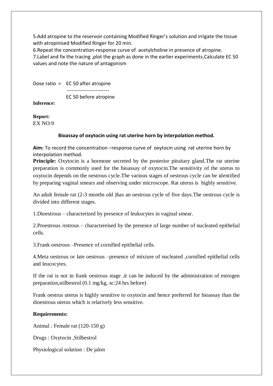5.Add atropine to the reservoir containing Modified Ringer's solution and irrigate the tissue with atropinised Modified Ringer for 20 min.

6.Repeat the concentration-response curve of acetylcholine in presence of atropine. 7.Label and fix the tracing ,plot the graph as done in the earlier experiments.Calculate EC 50 values and note the nature of antagonism

Dose ratio = EC 50 after atropine ------------------------- EC 50 before atropine

**Inference:**

**Report:** EX NO:9

## **Bioassay of oxytocin using rat uterine horn by interpolation method.**

**Aim:** To record the concentration –response curve of oxytocin using rat uterine horn by interpolation method.

**Principle:** Oxytocin is a hormone secreted by the posterior pituitary gland. The rat uterine preparation is commonly used for the bioassay of oxytocin.The sensitivity of the uterus to oxytocin depends on the oestrous cycle.The various stages of oestrous cycle can be identified by preparing vaginal smears and observing under microscope. Rat uterus is highly sensitive.

An adult female rat (2-3 months old )has an oestrous cycle of five days.The oestrous cycle is divided into different stages.

1.Dioestrous – characterized by presence of leukocytes in vaginal smear.

2.Proestrous /estrous – charactereised by the presence of large number of nucleated epithelial cells.

3.Frank oestrous –Presence of cornified epithelial cells.

4.Meta oestrous or late oestrous –presence of mixture of nucleated ,cornified epithelial cells and leucocytes.

If the rat is not in frank oestrous stage ,it can be induced by the administration of estrogen preparation,stilbestrol (0.1 mg/kg, sc:24 hrs before)

Frank oestrus uterus is highly sensitive to oxytocin and hence preferred for bioassay than the dioestrous uterus which is relatively less sensitive.

## **Requirements:**

Animal : Female rat (120-150 g)

Drugs : Oxytocin ,Stilbestrol

Physiological solution : De jalon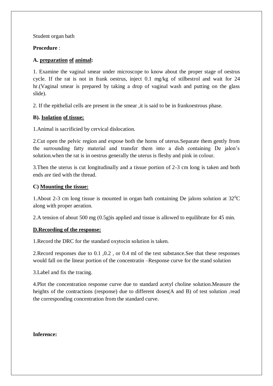Student organ bath

## **Procedure** :

## **A. preparation of animal:**

1. Examine the vaginal smear under microscope to know about the proper stage of oestrus cycle. If the rat is not in frank oestrus, inject 0.1 mg/kg of stilbestrol and wait for 24 hr.(Vaginal smear is prepared by taking a drop of vaginal wash and putting on the glass slide).

2. If the epithelial cells are present in the smear ,it is said to be in frankoestrous phase.

## **B). Isolation of tissue:**

1.Animal is sacrificied by cervical dislocation.

2.Cut open the pelvic region and expose both the horns of uterus.Separate them gently from the surrounding fatty material and transfer them into a dish containing De jalon's solution.when the rat is in oestrus generally the uterus is fleshy and pink in colour.

3.Then the uterus is cut longitudinally and a tissue portion of 2-3 cm long is taken and both ends are tied with the thread.

## **C) Mounting the tissue:**

1. About 2-3 cm long tissue is mounted in organ bath containing De jalons solution at  $32^{\circ}$ C along with proper aeration.

2.A tension of about 500 mg (0.5g)is applied and tissue is allowed to equilibrate for 45 min.

## **D.Recording of the response:**

1.Record the DRC for the standard oxytocin solution is taken.

2.Record responses due to 0.1 ,0.2 , or 0.4 ml of the test substance.See that these responses would fall on the linear portion of the concentratin –Response curve for the stand solution

3.Label and fix the tracing.

4.Plot the concentration response curve due to standard acetyl choline solution.Measure the heights of the contractions (response) due to different doses(A and B) of test solution .read the corresponding concentration from the standard curve.

## **Inference:**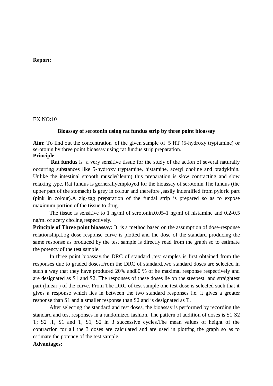#### **Report:**

#### EX NO:10

#### **Bioassay of serotonin using rat fundus strip by three point bioassay**

**Aim:** To find out the concentration of the given sample of 5 HT (5-hydroxy tryptamine) or serotonin by three point bioassay using rat fundus strip preparation. **Principle**:

**Rat fundus** is a very sensitive tissue for the study of the action of several naturally occurring substances like 5-hydroxy tryptamine, histamine, acetyl choline and bradykinin. Unlike the intestinal smooth muscle(ileum) this preparation is slow contracting and slow relaxing type. Rat fundus is gernerallyemployed for the bioassay of serotonin.The fundus (the upper part of the stomach) is grey in colour and therefore ,easily indentified from pyloric part (pink in colour).A zig-zag preparation of the fundal strip is prepared so as to expose maximum portion of the tissue to drug.

The tissue is sensitive to 1 ng/ml of serotonin,0.05-1 ng/ml of histamine and 0.2-0.5 ng/ml of acety choline,respectively.

**Principle of Three point bioassay:** It is a method based on the assumption of dose-response relationship.Log dose response curve is plotted and the dose of the standard producing the same response as produced by the test sample is directly read from the graph so to estimate the potency of the test sample.

In three point bioassay,the DRC of standard ,test samples is first obtained from the responses due to graded doses.From the DRC of standard,two standard doses are selected in such a way that they have produced 20% and80 % of he maximal response respectively and are designated as S1 and S2. The responses of these doses lie on the steepest and straightest part (linear ) of the curve. From The DRC of test sample one test dose is selected such that it gives a response which lies in between the two standard responses i.e. it gives a greater response than S1 and a smaller response than S2 and is designated as T.

After selecting the standard and test doses, the bioassay is performed by recording the standard and test responses in a randomized fashion. The pattern of addition of doses is S1 S2 T; S2 ,T, S1 and T, S1, S2 in 3 successive cycles.The mean values of height of the contraction for all the 3 doses are calculated and are used in plotting the graph so as to estimate the potency of the test sample.

## **Advantages:**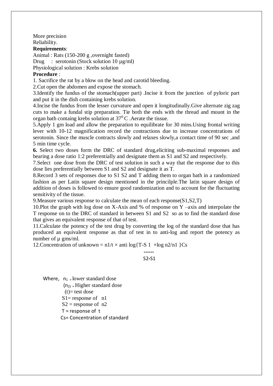More precision Reliability.

**Requirements**:

Animal : Rats (150-200 g ,overnight fasted) Drug : serotonin (Stock solution 10 µg/ml)

Physiological solution : Krebs solution

## **Procedure** :

1. Sacrifice the rat by a blow on the head and carotid bleeding.

2.Cut open the abdomen and expose the stomach.

3.Identify the fundus of the stomach(upper part) .Incise it from the junction of pyloric part and put it in the dish containing krebs solution.

4.Incise the fundus from the lesser curvature and open it longitudinally.Give alternate zig zag cuts to make a fundal stip preparation. Tie both the ends with the thread and mount in the organ bath containg krebs solution at  $37^{\circ}$ C. Aerate the tissue.

5.Apply 1 gm load and allow the preparation to equilibrate for 30 mins.Using frontal writing lever with 10-12 magnification record the contractions due to increase concentrations of serotonin. Since the muscle contracts slowly and relaxes slowly,a contact time of 90 sec ,and 5 min time cycle.

**6.** Select two doses form the DRC of standard drug,eliciting sub-maximal responses and bearing a dose ratio 1:2 preferentially and designate them as S1 and S2 and respectively.

7.Select one dose from the DRC of test solution in such a way that the response due to this dose lies preferentially between S1 and S2 and designate it as T.

8.Record 3 sets of responses due to S1 S2 and T adding them to organ bath in a randomized fashion as per Latin square design mentioned in the princilple.The latin square design of addition of doses is followed to ensure good randomization and to account for the fluctuating sensitivity of the tissue.

9. Measure various response to calculate the mean of each response  $(S1, S2, T)$ 

10.Plot the graph with log dose on X-Axis and % of response on Y –axis and interpolate the T response on to the DRC of standard in between S1 and S2 so as to find the standard dose that gives an equivalent response of that of test.

11.Calculate the potency of the test drug by converting the log of the standard dose that has produced an equivalent response as that of test in to anti-log and report the potency as number of  $\mu$  gms/ml.

 **------**

12. Concentration of unknown =  $n1/t \times anti \log{T-S} 1 \times log n2/n1$  }Cs

S2**-**S1

Where,  $n_1$  = lower standard dose  $(n<sub>2</sub>)$  = Higher standard dose  $(t)=$  test dose  $S1$ = response of n1  $S2$  = response of n2 T = response of t Cs= Concentration of standard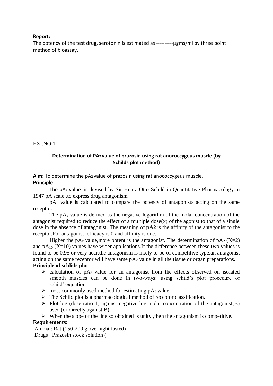#### **Report:**

The potency of the test drug, serotonin is estimated as ----------- ugms/ml by three point method of bioassay.

 $EX NO:11$ 

#### **Determination of PA2 value of prazosin using rat anococcygeus muscle (by Schilds plot method)**

**Aim:** To determine the pA**<sup>2</sup>** value of prazosin using rat anococcygeus muscle. **Principle**:

The pA**<sup>2</sup>** value is devised by Sir Heinz Otto Schild in Quantitative Pharmacology.In 1947 pA scale ,to express drug antagonism.

 pA<sup>x</sup> value is calculated to compare the potency of antagonists acting on the same receptor.

The  $pA_x$  value is defined as the negative logarithm of the molar concentration of the antagonist required to reduce the effect of a multiple  $dose(x)$  of the agonist to that of a single dose in the absence of antagonist. The meaning of **pA2** is the affinity of the antagonist to the receptor.For antagonist ,efficacy is 0 and affinity is one.

Higher the pA<sub>x</sub> value, more potent is the antagonist. The determination of pA<sub>2</sub> (X=2) and  $pA_{10}$  (X=10) values have wider applications. If the difference between these two values is found to be 0.95 or very near,the antagonism is likely to be of competitive type.an antagonist acting on the same receptor will have same  $pA_2$  value in all the tissue or organ preparations. **Principle of schlids plot**:

- $\triangleright$  calculation of pA<sub>2</sub> value for an antagonist from the effects observed on isolated smooth muscles can be done in two-ways: using schild's plot procedure or schild'sequation.
- $\triangleright$  most commonly used method for estimating pA<sub>2</sub> value.
- The Schild plot is a pharmacological method of receptor classification**.**
- $\triangleright$  Plot log (dose ratio-1) against negative log molar concentration of the antagonist(B) used (or directly against B)
- $\triangleright$  When the slope of the line so obtained is unity, then the antagonism is competitive.

#### **Requirements**:

Animal: Rat (150-200 g,overnight fasted) Drugs : Prazosin stock solution (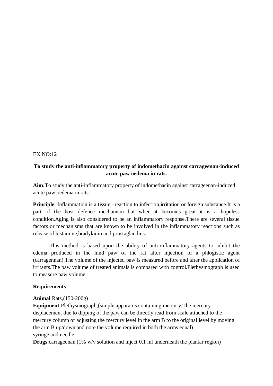#### $EX NO·12$

## **To study the anti-inflammatory property of indomethacin against carrageenan-induced acute paw oedema in rats.**

**Aim:**To study the anti-inflammatory property of indomethacin against carrageenan-induced acute paw oedema in rats.

**Principle**: Inflammation is a tissue –reaction to infection, irritation or foreign substance. It is a part of the host defence mechanism but when it becomes great it is a hopeless condition.Aging is also considered to be an inflammatory response.There are several tissue factors or mechanisms that are known to be involved in the inflammatory reactions such as release of histamine,bradykinin and prostaglandins.

This method is based upon the ability of anti-inflammatory agents to inhibit the edema produced in the hind paw of the rat after injection of a phlogistic agent (carragennan).The volume of the injected paw is measured before and after the application of irritants.The paw volume of treated animals is compared with control.Plethysmograph is used to measure paw volume.

#### **Requirements**:

#### **Animal**:Rats,(150-200g)

**Equipment**:Plethysmograph,(simple apparatus containing mercury.The mercury displacement due to dipping of the paw can be directly read from scale attached to the mercury column or adjusting the mercury level in the arm B to the original level by moving the arm B up/down and note the volume required in both the arms equal) syringe and needle

**Drugs**:carrageenan (1% w/v solution and inject 0.1 ml underneath the plantar region)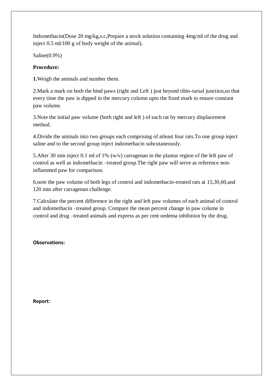Indomethacin(Dose 20 mg/kg,s.c,Prepare a stock solution containing 4mg/ml of the drug and inject 0.5 ml/100 g of body weight of the animal).

Saline(0.9%)

## **Procedure:**

**1.**Weigh the animals and number them.

2.Mark a mark on both the hind paws (right and Left ) just beyond tibio-tarsal junction,so that every time the paw is dipped in the mercury column upto the fixed mark to ensure constant paw volume.

3.Note the initial paw volume (both right and left ) of each rat by mercury displacement method.

4.Divide the animals into two groups each comprising of atleast four rats.To one group inject saline and to the second group inject indomethacin subcutaneously.

5.After 30 min inject 0.1 ml of 1% (w/v) carragenan in the plantar region of the left paw of control as well as indomethacin –treated group.The right paw will serve as reference noninflammed paw for comparison.

6.note the paw volume of both legs of control and indomethacin-treated rats at 15,30,60,and 120 min after carragenan challenge.

7.Calculate the percent difference in the right and left paw volumes of each animal of control and indomethacin –treated group. Compare the mean percent change in paw colume in control and drug –treated animals and express as per cent oedema inhibition by the drug.

**Observations:**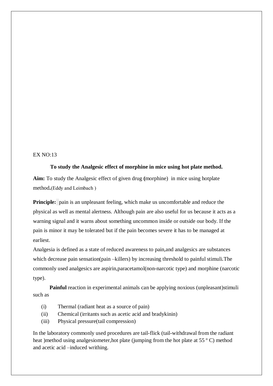#### EX NO:13

#### **To study the Analgesic effect of morphine in mice using hot plate method.**

**Aim:** To study the Analgesic effect of given drug **(**morphine) in mice using hotplate method**.**(Eddy and Leimbach )

**Principle:** pain is an unpleasant feeling, which make us uncomfortable and reduce the physical as well as mental alertness. Although pain are also useful for us because it acts as a warning signal and it warns about something uncommon inside or outside our body. If the pain is minor it may be tolerated but if the pain becomes severe it has to be managed at earliest.

Analgesia is defined as a state of reduced awareness to pain,and analgesics are substances which decrease pain sensation(pain –killers) by increasing threshold to painful stimuli. The commonly used analgesics are aspirin,paracetamol(non-narcotic type) and morphine (narcotic type).

**Painful** reaction in experimental animals can be applying noxious (unpleasant)stimuli such as

- (i) Thermal (radiant heat as a source of pain)
- (ii) Chemical (irritants such as acetic acid and bradykinin)
- (iii) Physical pressure(tail compression)

In the laboratory commonly used procedures are tail-flick (tail-withdrawal from the radiant heat )method using analgesiometer,hot plate (jumping from the hot plate at 55 °C) method and acetic acid –induced writhing.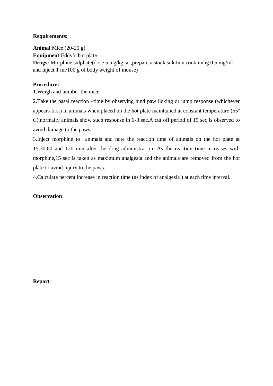## **Requirements**:

**Animal**:Mice (20-25 g) **Equipment**:Eddy's hot plate **Drugs:** Morphine sulphate(dose 5 mg/kg,sc.,prepare a stock solution containing 0.5 mg/ml and inject 1 ml/100 g of body weight of mouse)

## **Procedure:**

1.Weigh and number the mice.

2.Take the basal reaction –time by observing hind paw licking or jump response (whichever appears first) in animals when placed on the hot plate maintained at constant temperature (55º C).normally animals show such response in 6-8 sec.A cut off period of 15 sec is observed to avoid damage to the paws.

3.Inject morphine to animals and note the reaction time of animals on the hot plate at 15,30,60 and 120 min after the drug administration. As the reaction time increases with morphine,15 sec is taken as maximum analgesia and the animals are removed from the hot plate to avoid injury to the paws.

4.Calculate percent increase in reaction time (as index of analgesia ) at each time interval.

## **Observation**: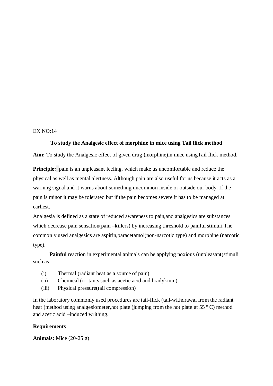#### EX NO:14

#### **To study the Analgesic effect of morphine in mice using Tail flick method**

**Aim:** To study the Analgesic effect of given drug **(**morphine)in mice usingTail flick method.

**Principle:** pain is an unpleasant feeling, which make us uncomfortable and reduce the physical as well as mental alertness. Although pain are also useful for us because it acts as a warning signal and it warns about something uncommon inside or outside our body. If the pain is minor it may be tolerated but if the pain becomes severe it has to be managed at earliest.

Analgesia is defined as a state of reduced awareness to pain,and analgesics are substances which decrease pain sensation(pain –killers) by increasing threshold to painful stimuli. The commonly used analgesics are aspirin,paracetamol(non-narcotic type) and morphine (narcotic type).

**Painful** reaction in experimental animals can be applying noxious (unpleasant)stimuli such as

- (i) Thermal (radiant heat as a source of pain)
- (ii) Chemical (irritants such as acetic acid and bradykinin)
- (iii) Physical pressure(tail compression)

In the laboratory commonly used procedures are tail-flick (tail-withdrawal from the radiant heat )method using analgesiometer, hot plate (jumping from the hot plate at 55 °C) method and acetic acid –induced writhing.

#### **Requirements**

**Animals:** Mice (20-25 g)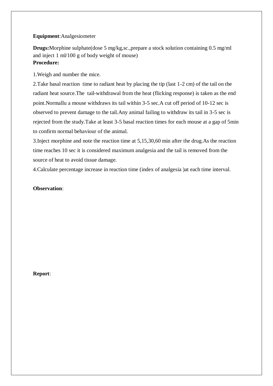### **Equipment**:Analgesiometer

**Drugs:**Morphine sulphate(dose 5 mg/kg,sc.,prepare a stock solution containing 0.5 mg/ml and inject 1 ml/100 g of body weight of mouse) **Procedure:**

1.Weigh and number the mice.

2.Take basal reaction time to radiant heat by placing the tip (last 1-2 cm) of the tail on the radiant heat source.The tail-withdrawal from the heat (flicking response) is taken as the end point.Normallu a mouse withdraws its tail within 3-5 sec.A cut off period of 10-12 sec is observed to prevent damage to the tail.Any animal failing to withdraw its tail in 3-5 sec is rejected from the study.Take at least 3-5 basal reaction times for each mouse at a gap of 5min to confirm normal behaviour of the animal.

3.Inject morphine and note the reaction time at 5,15,30,60 min after the drug.As the reaction time reaches 10 sec it is considered maximum analgesia and the tail is removed from the source of heat to avoid tissue damage.

4.Calculate percentage increase in reaction time (index of analgesia )at each time interval.

## **Observation**: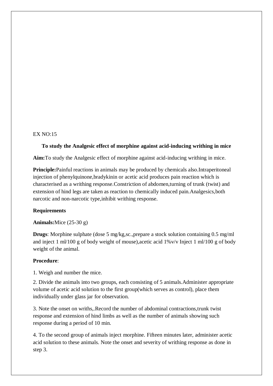#### $EX NO:15$

#### **To study the Analgesic effect of morphine against acid-inducing writhing in mice**

**Aim:**To study the Analgesic effect of morphine against acid-inducing writhing in mice.

**Principle:**Painful reactions in animals may be produced by chemicals also.Intraperitoneal injection of phenylquinone,bradykinin or acetic acid produces pain reaction which is characterised as a writhing response.Constriction of abdomen,turning of trunk (twist) and extension of hind legs are taken as reaction to chemically induced pain.Analgesics,both narcotic and non-narcotic type,inhibit writhing response.

#### **Requirements**

**Animals:**Mice (25-30 g)

**Drugs**: Morphine sulphate (dose 5 mg/kg,sc.,prepare a stock solution containing 0.5 mg/ml and inject 1 ml/100 g of body weight of mouse),acetic acid 1%v/v Inject 1 ml/100 g of body weight of the animal.

#### **Procedure**:

1. Weigh and number the mice.

2. Divide the animals into two groups, each consisting of 5 animals.Administer appropriate volume of acetic acid solution to the first group(which serves as control), place them individually under glass jar for observation.

3. Note the onset on wriths,.Record the number of abdominal contractions,trunk twist response and extension of hind limbs as well as the number of animals showing such response during a period of 10 min.

4. To the second group of animals inject morphine. Fifteen minutes later, administer acetic acid solution to these animals. Note the onset and severity of writhing response as done in step 3.